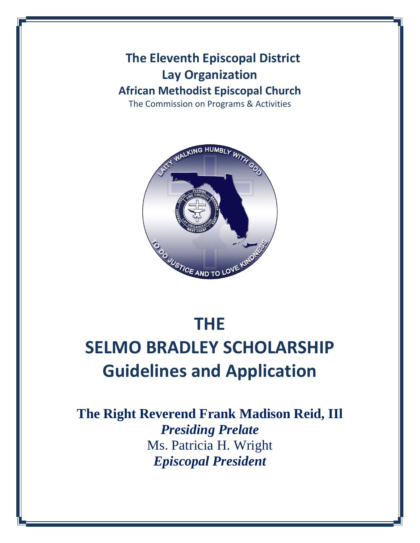**The Eleventh Episcopal District Lay Organization African Methodist Episcopal Church**

The Commission on Programs & Activities



# **THE SELMO BRADLEY SCHOLARSHIP Guidelines and Application**

**The Right Reverend Frank Madison Reid, IIl** *Presiding Prelate* Ms. Patricia H. Wright *Episcopal President*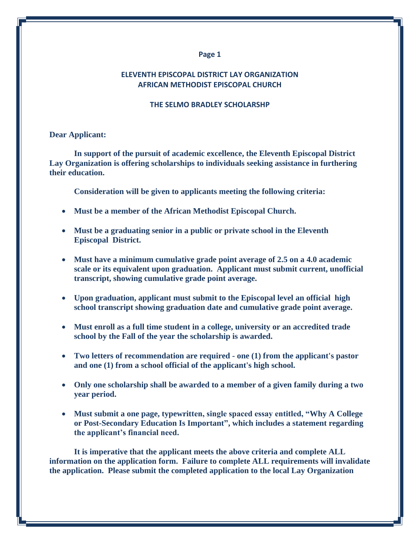#### **ELEVENTH EPISCOPAL DISTRICT LAY ORGANIZATION AFRICAN METHODIST EPISCOPAL CHURCH**

#### **THE SELMO BRADLEY SCHOLARSHP**

#### **Dear Applicant:**

**In support of the pursuit of academic excellence, the Eleventh Episcopal District Lay Organization is offering scholarships to individuals seeking assistance in furthering their education.**

**Consideration will be given to applicants meeting the following criteria:**

- **Must be a member of the African Methodist Episcopal Church.**
- **Must be a graduating senior in a public or private school in the Eleventh Episcopal District.**
- **Must have a minimum cumulative grade point average of 2.5 on a 4.0 academic scale or its equivalent upon graduation. Applicant must submit current, unofficial transcript, showing cumulative grade point average.**
- **Upon graduation, applicant must submit to the Episcopal level an official high school transcript showing graduation date and cumulative grade point average.**
- **Must enroll as a full time student in a college, university or an accredited trade school by the Fall of the year the scholarship is awarded.**
- **Two letters of recommendation are required - one (1) from the applicant's pastor and one (1) from a school official of the applicant's high school.**
- **Only one scholarship shall be awarded to a member of a given family during a two year period.**
- **Must submit a one page, typewritten, single spaced essay entitled, "Why A College or Post-Secondary Education Is Important", which includes a statement regarding the applicant's financial need.**

**It is imperative that the applicant meets the above criteria and complete ALL information on the application form. Failure to complete ALL requirements will invalidate the application. Please submit the completed application to the local Lay Organization**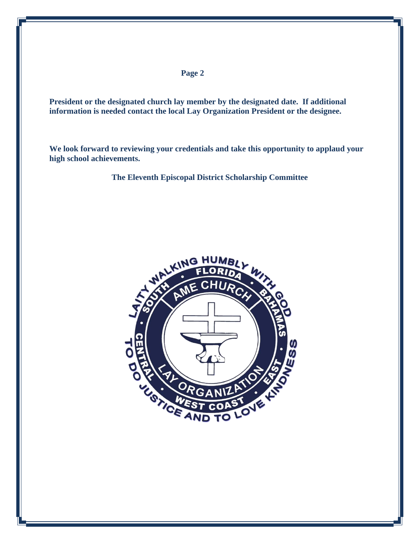**President or the designated church lay member by the designated date. If additional information is needed contact the local Lay Organization President or the designee.**

**We look forward to reviewing your credentials and take this opportunity to applaud your high school achievements.**

**The Eleventh Episcopal District Scholarship Committee**

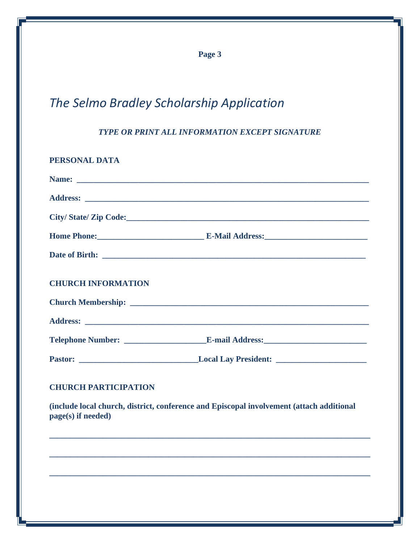# *The Selmo Bradley Scholarship Application*

*TYPE OR PRINT ALL INFORMATION EXCEPT SIGNATURE*

| PERSONAL DATA             |                      |
|---------------------------|----------------------|
|                           |                      |
|                           |                      |
|                           | City/State/Zip Code: |
|                           |                      |
|                           |                      |
|                           |                      |
| <b>CHURCH INFORMATION</b> |                      |
|                           |                      |
|                           |                      |
|                           |                      |
|                           |                      |

# **CHURCH PARTICIPATION**

**(include local church, district, conference and Episcopal involvement (attach additional page(s) if needed)**

**\_\_\_\_\_\_\_\_\_\_\_\_\_\_\_\_\_\_\_\_\_\_\_\_\_\_\_\_\_\_\_\_\_\_\_\_\_\_\_\_\_\_\_\_\_\_\_\_\_\_\_\_\_\_\_\_\_\_\_\_\_\_\_\_\_\_\_\_\_\_\_\_\_\_\_\_\_\_**

**\_\_\_\_\_\_\_\_\_\_\_\_\_\_\_\_\_\_\_\_\_\_\_\_\_\_\_\_\_\_\_\_\_\_\_\_\_\_\_\_\_\_\_\_\_\_\_\_\_\_\_\_\_\_\_\_\_\_\_\_\_\_\_\_\_\_\_\_\_\_\_\_\_\_\_\_\_\_**

**\_\_\_\_\_\_\_\_\_\_\_\_\_\_\_\_\_\_\_\_\_\_\_\_\_\_\_\_\_\_\_\_\_\_\_\_\_\_\_\_\_\_\_\_\_\_\_\_\_\_\_\_\_\_\_\_\_\_\_\_\_\_\_\_\_\_\_\_\_\_\_\_\_\_\_\_\_\_**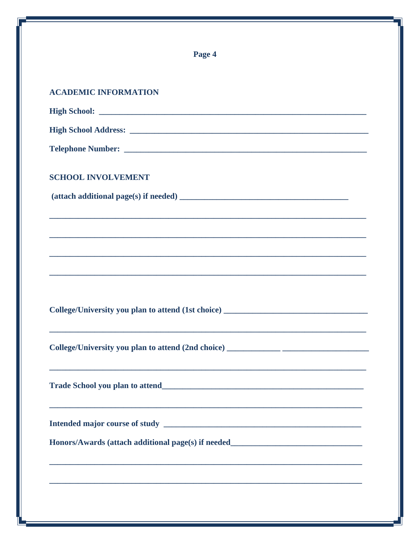| Page 4                                                                                                                                          |  |
|-------------------------------------------------------------------------------------------------------------------------------------------------|--|
| <b>ACADEMIC INFORMATION</b>                                                                                                                     |  |
|                                                                                                                                                 |  |
|                                                                                                                                                 |  |
|                                                                                                                                                 |  |
| <b>SCHOOL INVOLVEMENT</b>                                                                                                                       |  |
|                                                                                                                                                 |  |
| ,我们也不能在这里的时候,我们也不能在这里的时候,我们也不能会不能会不能会不能会不能会不能会不能会不能会不能会不能会。<br>第2012章 我们的时候,我们的时候,我们的时候,我们的时候,我们的时候,我们的时候,我们的时候,我们的时候,我们的时候,我们的时候,我们的时候,我们的时候,我 |  |
|                                                                                                                                                 |  |
|                                                                                                                                                 |  |
|                                                                                                                                                 |  |
| College/University you plan to attend (1st choice) ______________________________                                                               |  |
|                                                                                                                                                 |  |
|                                                                                                                                                 |  |
|                                                                                                                                                 |  |
| Honors/Awards (attach additional page(s) if needed_______________________________                                                               |  |
|                                                                                                                                                 |  |
|                                                                                                                                                 |  |